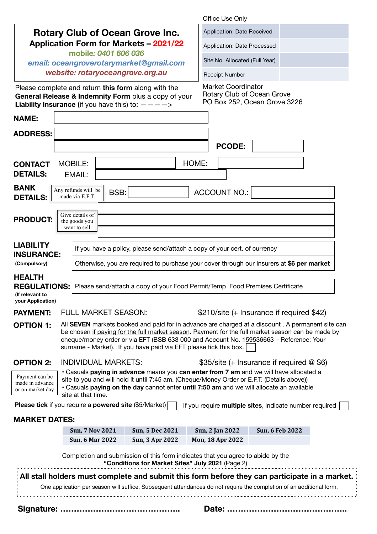|                                                                                     |                                                                                                                                                                                                                                                                                                                                                                       |                                                                                                                                                                                                                                                                                  | Office Use Only                                         |                                           |  |  |
|-------------------------------------------------------------------------------------|-----------------------------------------------------------------------------------------------------------------------------------------------------------------------------------------------------------------------------------------------------------------------------------------------------------------------------------------------------------------------|----------------------------------------------------------------------------------------------------------------------------------------------------------------------------------------------------------------------------------------------------------------------------------|---------------------------------------------------------|-------------------------------------------|--|--|
| <b>Rotary Club of Ocean Grove Inc.</b>                                              |                                                                                                                                                                                                                                                                                                                                                                       |                                                                                                                                                                                                                                                                                  | Application: Date Received                              |                                           |  |  |
| <b>Application Form for Markets - 2021/22</b>                                       |                                                                                                                                                                                                                                                                                                                                                                       |                                                                                                                                                                                                                                                                                  | Application: Date Processed                             |                                           |  |  |
| mobile: 0401 606 036<br>email: oceangroverotarymarket@gmail.com                     |                                                                                                                                                                                                                                                                                                                                                                       |                                                                                                                                                                                                                                                                                  | Site No. Allocated (Full Year)                          |                                           |  |  |
| website: rotaryoceangrove.org.au                                                    |                                                                                                                                                                                                                                                                                                                                                                       |                                                                                                                                                                                                                                                                                  | Receipt Number                                          |                                           |  |  |
|                                                                                     | <b>Liability Insurance (if you have this) to: <math>-\frac{2}{5}</math></b>                                                                                                                                                                                                                                                                                           | Please complete and return this form along with the<br>General Release & Indemnity Form plus a copy of your                                                                                                                                                                      | <b>Market Coordinator</b><br>Rotary Club of Ocean Grove | PO Box 252, Ocean Grove 3226              |  |  |
| <b>NAME:</b>                                                                        |                                                                                                                                                                                                                                                                                                                                                                       |                                                                                                                                                                                                                                                                                  |                                                         |                                           |  |  |
| <b>ADDRESS:</b>                                                                     |                                                                                                                                                                                                                                                                                                                                                                       |                                                                                                                                                                                                                                                                                  |                                                         |                                           |  |  |
|                                                                                     |                                                                                                                                                                                                                                                                                                                                                                       |                                                                                                                                                                                                                                                                                  | <b>PCODE:</b>                                           |                                           |  |  |
| <b>CONTACT</b><br><b>DETAILS:</b>                                                   | <b>MOBILE:</b><br>EMAIL:                                                                                                                                                                                                                                                                                                                                              |                                                                                                                                                                                                                                                                                  | HOME:                                                   |                                           |  |  |
| <b>BANK</b><br><b>DETAILS:</b>                                                      | Any refunds will be<br>made via E.F.T.                                                                                                                                                                                                                                                                                                                                | BSB:<br><b>ACCOUNT NO.:</b>                                                                                                                                                                                                                                                      |                                                         |                                           |  |  |
| <b>PRODUCT:</b>                                                                     | Give details of<br>the goods you<br>want to sell                                                                                                                                                                                                                                                                                                                      |                                                                                                                                                                                                                                                                                  |                                                         |                                           |  |  |
| <b>LIABILITY</b>                                                                    |                                                                                                                                                                                                                                                                                                                                                                       | If you have a policy, please send/attach a copy of your cert. of currency                                                                                                                                                                                                        |                                                         |                                           |  |  |
| <b>INSURANCE:</b><br>(Compulsory)                                                   |                                                                                                                                                                                                                                                                                                                                                                       | Otherwise, you are required to purchase your cover through our Insurers at \$6 per market                                                                                                                                                                                        |                                                         |                                           |  |  |
| <b>HEALTH</b><br><b>REGULATIONS:</b><br>(If relevant to<br><b>your Application)</b> |                                                                                                                                                                                                                                                                                                                                                                       | Please send/attach a copy of your Food Permit/Temp. Food Premises Certificate                                                                                                                                                                                                    |                                                         |                                           |  |  |
| <b>PAYMENT:</b>                                                                     | <b>FULL MARKET SEASON:</b>                                                                                                                                                                                                                                                                                                                                            |                                                                                                                                                                                                                                                                                  |                                                         | $$210/site (+ Insurface if required $42)$ |  |  |
| <b>OPTION 1:</b>                                                                    | All SEVEN markets booked and paid for in advance are charged at a discount . A permanent site can<br>be chosen if paying for the full market season. Payment for the full market season can be made by<br>cheque/money order or via EFT (BSB 633 000 and Account No. 159536663 - Reference: Your<br>surname - Market). If you have paid via EFT please tick this box. |                                                                                                                                                                                                                                                                                  |                                                         |                                           |  |  |
| <b>OPTION 2:</b>                                                                    | <b>INDIVIDUAL MARKETS:</b><br>\$35/site (+ Insurance if required $@$ \$6)                                                                                                                                                                                                                                                                                             |                                                                                                                                                                                                                                                                                  |                                                         |                                           |  |  |
| Payment can be<br>made in advance<br>or on market day                               | site at that time.                                                                                                                                                                                                                                                                                                                                                    | • Casuals paying in advance means you can enter from 7 am and we will have allocated a<br>site to you and will hold it until 7:45 am. (Cheque/Money Order or E.F.T. (Details above))<br>. Casuals paying on the day cannot enter until 7:50 am and we will allocate an available |                                                         |                                           |  |  |
|                                                                                     | <b>Please tick</b> if you require a <b>powered site</b> (\$5/Market)                                                                                                                                                                                                                                                                                                  |                                                                                                                                                                                                                                                                                  | If you require multiple sites, indicate number required |                                           |  |  |
| <b>MARKET DATES:</b>                                                                |                                                                                                                                                                                                                                                                                                                                                                       |                                                                                                                                                                                                                                                                                  |                                                         |                                           |  |  |
|                                                                                     | <b>Sun, 7 Nov 2021</b>                                                                                                                                                                                                                                                                                                                                                | <b>Sun, 5 Dec 2021</b>                                                                                                                                                                                                                                                           | Sun, 2 Jan 2022                                         | <b>Sun, 6 Feb 2022</b>                    |  |  |
|                                                                                     | <b>Sun, 6 Mar 2022</b>                                                                                                                                                                                                                                                                                                                                                | Sun, 3 Apr 2022<br>Completion and submission of this form indicates that you agree to abide by the<br>"Conditions for Market Sites" July 2021 (Page 2)                                                                                                                           | Mon, 18 Apr 2022                                        |                                           |  |  |
|                                                                                     |                                                                                                                                                                                                                                                                                                                                                                       | All stall holders must complete and submit this form before they can participate in a market.                                                                                                                                                                                    |                                                         |                                           |  |  |
|                                                                                     |                                                                                                                                                                                                                                                                                                                                                                       | One application per season will suffice. Subsequent attendances do not require the completion of an additional form.                                                                                                                                                             |                                                         |                                           |  |  |
|                                                                                     |                                                                                                                                                                                                                                                                                                                                                                       |                                                                                                                                                                                                                                                                                  |                                                         | Date:                                     |  |  |